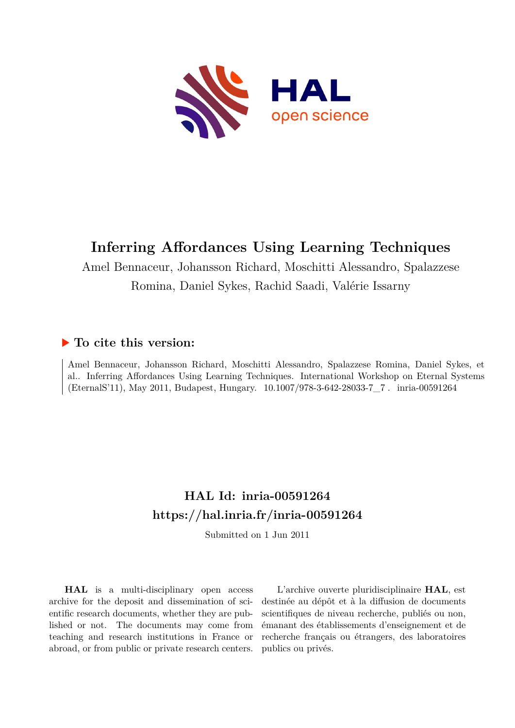

# **Inferring Affordances Using Learning Techniques**

Amel Bennaceur, Johansson Richard, Moschitti Alessandro, Spalazzese Romina, Daniel Sykes, Rachid Saadi, Valérie Issarny

## **To cite this version:**

Amel Bennaceur, Johansson Richard, Moschitti Alessandro, Spalazzese Romina, Daniel Sykes, et al.. Inferring Affordances Using Learning Techniques. International Workshop on Eternal Systems (EternalS'11), May 2011, Budapest, Hungary.  $10.1007/978-3-642-28033-7\_7$ . inria-00591264

# **HAL Id: inria-00591264 <https://hal.inria.fr/inria-00591264>**

Submitted on 1 Jun 2011

**HAL** is a multi-disciplinary open access archive for the deposit and dissemination of scientific research documents, whether they are published or not. The documents may come from teaching and research institutions in France or abroad, or from public or private research centers.

L'archive ouverte pluridisciplinaire **HAL**, est destinée au dépôt et à la diffusion de documents scientifiques de niveau recherche, publiés ou non, émanant des établissements d'enseignement et de recherche français ou étrangers, des laboratoires publics ou privés.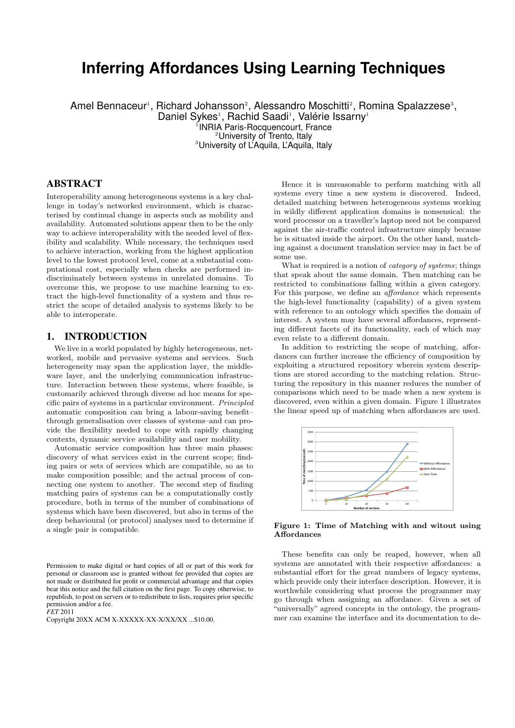# **Inferring Affordances Using Learning Techniques**

Amel Bennaceur<sup>1</sup>, Richard Johansson<sup>2</sup>, Alessandro Moschitti<sup>2</sup>, Romina Spalazzese<sup>3</sup>,

Daniel Sykes<sup>1</sup>, Rachid Saadi<sup>1</sup>, Valérie Issarny<sup>1</sup>

<sup>1</sup> INRIA Paris-Rocquencourt, France

 $2$ University of Trento, Italy

<sup>3</sup>University of L'Aquila, L'Aquila, Italy

### ABSTRACT

Interoperability among heterogeneous systems is a key challenge in today's networked environment, which is characterised by continual change in aspects such as mobility and availability. Automated solutions appear then to be the only way to achieve interoperability with the needed level of flexibility and scalability. While necessary, the techniques used to achieve interaction, working from the highest application level to the lowest protocol level, come at a substantial computational cost, especially when checks are performed indiscriminately between systems in unrelated domains. To overcome this, we propose to use machine learning to extract the high-level functionality of a system and thus restrict the scope of detailed analysis to systems likely to be able to interoperate.

#### 1. INTRODUCTION

We live in a world populated by highly heterogeneous, networked, mobile and pervasive systems and services. Such heterogeneity may span the application layer, the middleware layer, and the underlying communication infrastructure. Interaction between these systems, where feasible, is customarily achieved through diverse ad hoc means for specific pairs of systems in a particular environment. Principled automatic composition can bring a labour-saving benefit– through generalisation over classes of systems–and can provide the flexibility needed to cope with rapidly changing contexts, dynamic service availability and user mobility.

Automatic service composition has three main phases: discovery of what services exist in the current scope; finding pairs or sets of services which are compatible, so as to make composition possible; and the actual process of connecting one system to another. The second step of finding matching pairs of systems can be a computationally costly procedure, both in terms of the number of combinations of systems which have been discovered, but also in terms of the deep behavioural (or protocol) analyses used to determine if a single pair is compatible.

Permission to make digital or hard copies of all or part of this work for personal or classroom use is granted without fee provided that copies are not made or distributed for profit or commercial advantage and that copies bear this notice and the full citation on the first page. To copy otherwise, to republish, to post on servers or to redistribute to lists, requires prior specific permission and/or a fee.

*FET* 2011

Hence it is unreasonable to perform matching with all systems every time a new system is discovered. Indeed, detailed matching between heterogeneous systems working in wildly different application domains is nonsensical: the word processor on a traveller's laptop need not be compared against the air-traffic control infrastructure simply because he is situated inside the airport. On the other hand, matching against a document translation service may in fact be of some use.

What is required is a notion of *category of systems*; things that speak about the same domain. Then matching can be restricted to combinations falling within a given category. For this purpose, we define an affordance which represents the high-level functionality (capability) of a given system with reference to an ontology which specifies the domain of interest. A system may have several affordances, representing different facets of its functionality, each of which may even relate to a different domain.

In addition to restricting the scope of matching, affordances can further increase the efficiency of composition by exploiting a structured repository wherein system descriptions are stored according to the matching relation. Structuring the repository in this manner reduces the number of comparisons which need to be made when a new system is discovered, even within a given domain. Figure 1 illustrates the linear speed up of matching when affordances are used.





These benefits can only be reaped, however, when all systems are annotated with their respective affordances: a substantial effort for the great numbers of legacy systems, which provide only their interface description. However, it is worthwhile considering what process the programmer may go through when assigning an affordance. Given a set of "universally" agreed concepts in the ontology, the programmer can examine the interface and its documentation to de-

Copyright 20XX ACM X-XXXXX-XX-X/XX/XX ...\$10.00.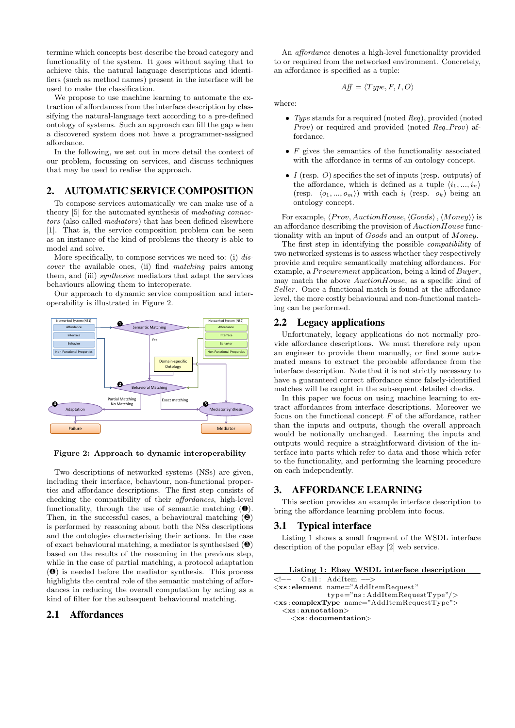termine which concepts best describe the broad category and functionality of the system. It goes without saying that to achieve this, the natural language descriptions and identifiers (such as method names) present in the interface will be used to make the classification.

We propose to use machine learning to automate the extraction of affordances from the interface description by classifying the natural-language text according to a pre-defined ontology of systems. Such an approach can fill the gap when a discovered system does not have a programmer-assigned affordance.

In the following, we set out in more detail the context of our problem, focussing on services, and discuss techniques that may be used to realise the approach.

#### 2. AUTOMATIC SERVICE COMPOSITION

To compose services automatically we can make use of a theory [5] for the automated synthesis of mediating connectors (also called mediators) that has been defined elsewhere [1]. That is, the service composition problem can be seen as an instance of the kind of problems the theory is able to model and solve.

More specifically, to compose services we need to: (i) discover the available ones, (ii) find matching pairs among them, and (iii) synthesise mediators that adapt the services behaviours allowing them to interoperate.

Our approach to dynamic service composition and interoperability is illustrated in Figure 2.



#### Figure 2: Approach to dynamic interoperability

Two descriptions of networked systems (NSs) are given, including their interface, behaviour, non-functional properties and affordance descriptions. The first step consists of checking the compatibility of their affordances, high-level functionality, through the use of semantic matching  $(\mathbf{0})$ . Then, in the successful cases, a behavioural matching  $(\bullet)$ is performed by reasoning about both the NSs descriptions and the ontologies characterising their actions. In the case of exact behavioural matching, a mediator is synthesised (❸) based on the results of the reasoning in the previous step, while in the case of partial matching, a protocol adaptation (❹) is needed before the mediator synthesis. This process highlights the central role of the semantic matching of affordances in reducing the overall computation by acting as a kind of filter for the subsequent behavioural matching.

#### 2.1 Affordances

An affordance denotes a high-level functionality provided to or required from the networked environment. Concretely, an affordance is specified as a tuple:

$$
Aff = \langle Type, F, I, O \rangle
$$

where:

- Type stands for a required (noted  $\text{Re}q$ ), provided (noted *Prov*) or required and provided (noted  $Req$ -*Prov*) affordance.
- $F$  gives the semantics of the functionality associated with the affordance in terms of an ontology concept.
- I (resp.  $\hat{O}$ ) specifies the set of inputs (resp. outputs) of the affordance, which is defined as a tuple  $\langle i_1, ..., i_n \rangle$ (resp.  $\langle o_1, ..., o_m \rangle$ ) with each  $i_l$  (resp.  $o_k$ ) being an ontology concept.

For example,  $\langle Prov, AuctionHouse, \langle Goods \rangle$ ,  $\langle Money \rangle$  is an affordance describing the provision of AuctionHouse functionality with an input of Goods and an output of Money.

The first step in identifying the possible compatibility of two networked systems is to assess whether they respectively provide and require semantically matching affordances. For example, a *Procurement* application, being a kind of Buyer. may match the above AuctionHouse, as a specific kind of Seller. Once a functional match is found at the affordance level, the more costly behavioural and non-functional matching can be performed.

#### 2.2 Legacy applications

Unfortunately, legacy applications do not normally provide affordance descriptions. We must therefore rely upon an engineer to provide them manually, or find some automated means to extract the probable affordance from the interface description. Note that it is not strictly necessary to have a guaranteed correct affordance since falsely-identified matches will be caught in the subsequent detailed checks.

In this paper we focus on using machine learning to extract affordances from interface descriptions. Moreover we focus on the functional concept  $F$  of the affordance, rather than the inputs and outputs, though the overall approach would be notionally unchanged. Learning the inputs and outputs would require a straightforward division of the interface into parts which refer to data and those which refer to the functionality, and performing the learning procedure on each independently.

#### 3. AFFORDANCE LEARNING

This section provides an example interface description to bring the affordance learning problem into focus.

#### 3.1 Typical interface

Listing 1 shows a small fragment of the WSDL interface description of the popular eBay [2] web service.

```
Listing 1: Ebay WSDL interface description
<!−− C all : AddItem −−>
<xs : element name="AddItemRequest "
             type="ns : AddItemRequestType"/>
<xs : complexType name="AddItemRequestType">
  <xs : annotation>
    \langle xs:documentation \rangle
```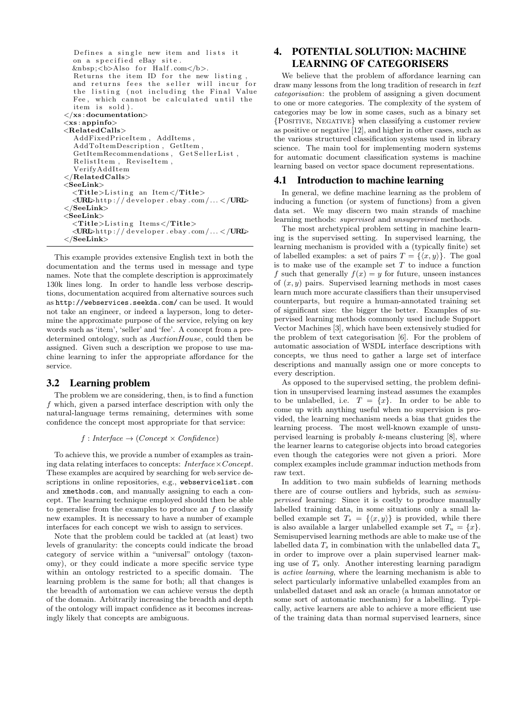```
Defines a single new item and lists it
  on a specified eBay site.
  knbsp; <b>A</b>lso for Half.com</b>.
  Returns the item ID for the new listing
  and returns fees the seller will incur for
  the listing (not including the Final Value
  Fee, which cannot be calculated until the
  item is sold).
\langle x \ranglexs : documentation
<xs: appinfo><RelatedCalls>AddFixedPriceItem , AddItems ,
   AddToItemDescription , GetItem ,
  GetItemRecommendations, GetSellerList,
   RelistItem, ReviseItem,
   VerifyAddItem
</RelatedCalls>
<SeeLink>\langleTitle>Listing an Item\langleTitle>
  \langle \text{URL} \ranglehttp://developer.ebay.com/...\langle / \text{URL} \rangle</SeeLink>
<SeeLink>\langle\text{Title}\rangleListing Items\langle\text{Title}\rangle\langle \text{URL} \ranglehttp://developer.ebay.com/...\langle / \text{URL} \rangle</SeeLink>
```
This example provides extensive English text in both the documentation and the terms used in message and type names. Note that the complete description is approximately 130k lines long. In order to handle less verbose descriptions, documentation acquired from alternative sources such as http://webservices.seekda.com/ can be used. It would not take an engineer, or indeed a layperson, long to determine the approximate purpose of the service, relying on key words such as 'item', 'seller' and 'fee'. A concept from a predetermined ontology, such as  $\textit{AuctionHouse}$ , could then be assigned. Given such a description we propose to use machine learning to infer the appropriate affordance for the service.

#### 3.2 Learning problem

The problem we are considering, then, is to find a function f which, given a parsed interface description with only the natural-language terms remaining, determines with some confidence the concept most appropriate for that service:

 $f: \text{Interface} \rightarrow (\text{Concept} \times \text{Confidence})$ 

To achieve this, we provide a number of examples as training data relating interfaces to concepts:  $Interface \times Concept$ . These examples are acquired by searching for web service descriptions in online repositories, e.g., webservicelist.com and xmethods.com, and manually assigning to each a concept. The learning technique employed should then be able to generalise from the examples to produce an  $f$  to classify new examples. It is necessary to have a number of example interfaces for each concept we wish to assign to services.

Note that the problem could be tackled at (at least) two levels of granularity: the concepts could indicate the broad category of service within a "universal" ontology (taxonomy), or they could indicate a more specific service type within an ontology restricted to a specific domain. The learning problem is the same for both; all that changes is the breadth of automation we can achieve versus the depth of the domain. Arbitrarily increasing the breadth and depth of the ontology will impact confidence as it becomes increasingly likely that concepts are ambiguous.

### 4. POTENTIAL SOLUTION: MACHINE LEARNING OF CATEGORISERS

We believe that the problem of affordance learning can draw many lessons from the long tradition of research in text categorisation: the problem of assigning a given document to one or more categories. The complexity of the system of categories may be low in some cases, such as a binary set {Positive, Negative} when classifying a customer review as positive or negative [12], and higher in other cases, such as the various structured classification systems used in library science. The main tool for implementing modern systems for automatic document classification systems is machine learning based on vector space document representations.

#### 4.1 Introduction to machine learning

In general, we define machine learning as the problem of inducing a function (or system of functions) from a given data set. We may discern two main strands of machine learning methods: supervised and unsupervised methods.

The most archetypical problem setting in machine learning is the supervised setting. In supervised learning, the learning mechanism is provided with a (typically finite) set of labelled examples: a set of pairs  $T = \{\langle x, y \rangle\}$ . The goal is to make use of the example set  $T$  to induce a function f such that generally  $f(x) = y$  for future, unseen instances of  $(x, y)$  pairs. Supervised learning methods in most cases learn much more accurate classifiers than their unsupervised counterparts, but require a human-annotated training set of significant size: the bigger the better. Examples of supervised learning methods commonly used include Support Vector Machines [3], which have been extensively studied for the problem of text categorisation [6]. For the problem of automatic association of WSDL interface descriptions with concepts, we thus need to gather a large set of interface descriptions and manually assign one or more concepts to every description.

As opposed to the supervised setting, the problem definition in unsupervised learning instead assumes the examples to be unlabelled, i.e.  $T = \{x\}$ . In order to be able to come up with anything useful when no supervision is provided, the learning mechanism needs a bias that guides the learning process. The most well-known example of unsupervised learning is probably  $k$ -means clustering [8], where the learner learns to categorise objects into broad categories even though the categories were not given a priori. More complex examples include grammar induction methods from raw text.

In addition to two main subfields of learning methods there are of course outliers and hybrids, such as semisupervised learning: Since it is costly to produce manually labelled training data, in some situations only a small labelled example set  $T_s = \{\langle x, y \rangle\}$  is provided, while there is also available a larger unlabelled example set  $T_u = \{x\}.$ Semisupervised learning methods are able to make use of the labelled data  $T_s$  in combination with the unlabelled data  $T_u$ in order to improve over a plain supervised learner making use of  $T_s$  only. Another interesting learning paradigm is active learning, where the learning mechanism is able to select particularly informative unlabelled examples from an unlabelled dataset and ask an oracle (a human annotator or some sort of automatic mechanism) for a labelling. Typically, active learners are able to achieve a more efficient use of the training data than normal supervised learners, since